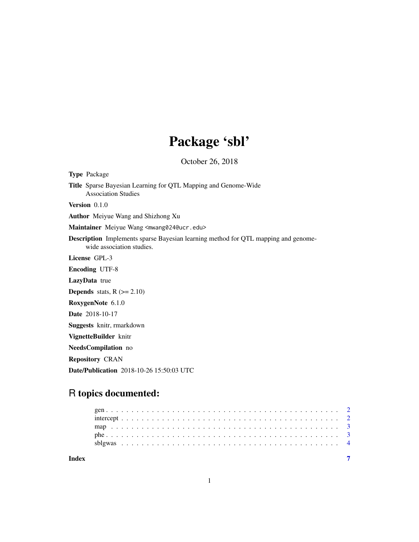# Package 'sbl'

October 26, 2018

| <b>Type Package</b>                                                                                                    |
|------------------------------------------------------------------------------------------------------------------------|
| <b>Title</b> Sparse Bayesian Learning for QTL Mapping and Genome-Wide<br><b>Association Studies</b>                    |
| <b>Version</b> $0.1.0$                                                                                                 |
| <b>Author</b> Meiyue Wang and Shizhong Xu                                                                              |
| Maintainer Meiyue Wang <mwang024@ucr.edu></mwang024@ucr.edu>                                                           |
| <b>Description</b> Implements sparse Bayesian learning method for QTL mapping and genome-<br>wide association studies. |
| License GPL-3                                                                                                          |
| <b>Encoding UTF-8</b>                                                                                                  |
| <b>LazyData</b> true                                                                                                   |
| <b>Depends</b> stats, $R$ ( $>= 2.10$ )                                                                                |
| RoxygenNote 6.1.0                                                                                                      |
| <b>Date</b> 2018-10-17                                                                                                 |
| Suggests knitr, rmarkdown                                                                                              |
| VignetteBuilder knitr                                                                                                  |
| NeedsCompilation no                                                                                                    |
| <b>Repository CRAN</b>                                                                                                 |
| <b>Date/Publication</b> 2018-10-26 15:50:03 UTC                                                                        |
|                                                                                                                        |

# R topics documented: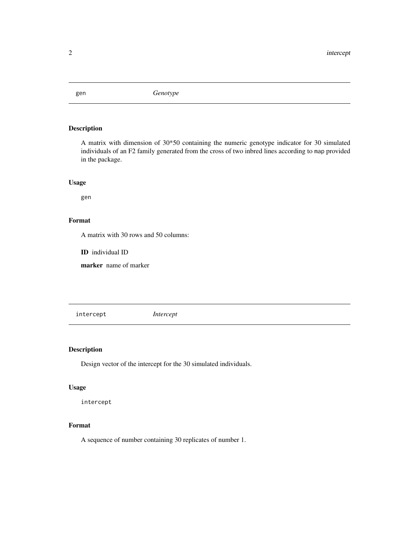<span id="page-1-0"></span>

#### Description

A matrix with dimension of 30\*50 containing the numeric genotype indicator for 30 simulated individuals of an F2 family generated from the cross of two inbred lines according to map provided in the package.

#### Usage

gen

#### Format

A matrix with 30 rows and 50 columns:

ID individual ID

marker name of marker

intercept *Intercept*

#### Description

Design vector of the intercept for the 30 simulated individuals.

#### Usage

intercept

### Format

A sequence of number containing 30 replicates of number 1.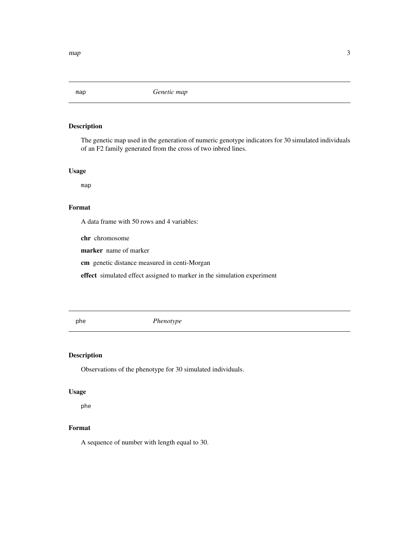<span id="page-2-0"></span>

#### Description

The genetic map used in the generation of numeric genotype indicators for 30 simulated individuals of an F2 family generated from the cross of two inbred lines.

#### Usage

map

# Format

A data frame with 50 rows and 4 variables:

chr chromosome

marker name of marker

cm genetic distance measured in centi-Morgan

effect simulated effect assigned to marker in the simulation experiment

phe *Phenotype*

#### Description

Observations of the phenotype for 30 simulated individuals.

#### Usage

phe

#### Format

A sequence of number with length equal to 30.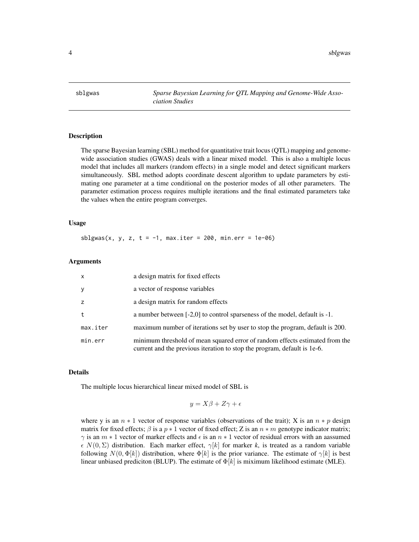<span id="page-3-0"></span>sblgwas *Sparse Bayesian Learning for QTL Mapping and Genome-Wide Association Studies*

#### **Description**

The sparse Bayesian learning (SBL) method for quantitative trait locus (QTL) mapping and genomewide association studies (GWAS) deals with a linear mixed model. This is also a multiple locus model that includes all markers (random effects) in a single model and detect significant markers simultaneously. SBL method adopts coordinate descent algorithm to update parameters by estimating one parameter at a time conditional on the posterior modes of all other parameters. The parameter estimation process requires multiple iterations and the final estimated parameters take the values when the entire program converges.

#### Usage

sblgwas(x, y, z, t =  $-1$ , max.iter = 200, min.err = 1e-06)

#### Arguments

| $\mathsf{x}$ | a design matrix for fixed effects                                                                                                                        |
|--------------|----------------------------------------------------------------------------------------------------------------------------------------------------------|
| $\mathbf{y}$ | a vector of response variables                                                                                                                           |
| z            | a design matrix for random effects                                                                                                                       |
| t            | a number between [-2,0] to control sparseness of the model, default is -1.                                                                               |
| max.iter     | maximum number of iterations set by user to stop the program, default is 200.                                                                            |
| min.err      | minimum threshold of mean squared error of random effects estimated from the<br>current and the previous iteration to stop the program, default is 1e-6. |

#### Details

The multiple locus hierarchical linear mixed model of SBL is

$$
y = X\beta + Z\gamma + \epsilon
$$

where y is an  $n * 1$  vector of response variables (observations of the trait); X is an  $n * p$  design matrix for fixed effects;  $\beta$  is a  $p * 1$  vector of fixed effect; Z is an  $n * m$  genotype indicator matrix;  $\gamma$  is an  $m * 1$  vector of marker effects and  $\epsilon$  is an  $n * 1$  vector of residual errors with an aassumed  $\epsilon N(0, \Sigma)$  distribution. Each marker effect,  $\gamma[k]$  for marker k, is treated as a random variable following  $N(0, \Phi[k])$  distribution, where  $\Phi[k]$  is the prior variance. The estimate of  $\gamma[k]$  is best linear unbiased prediciton (BLUP). The estimate of  $\Phi[k]$  is miximum likelihood estimate (MLE).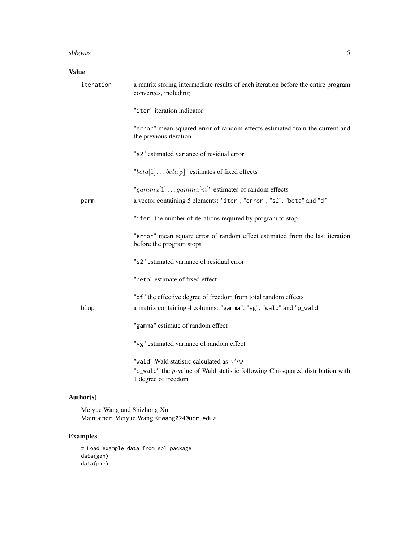#### sblgwas 5

#### Value

| iteration | a matrix storing intermediate results of each iteration before the entire program<br>converges, including                                                    |
|-----------|--------------------------------------------------------------------------------------------------------------------------------------------------------------|
|           | "iter" iteration indicator                                                                                                                                   |
|           | "error" mean squared error of random effects estimated from the current and<br>the previous iteration                                                        |
|           | "s2" estimated variance of residual error                                                                                                                    |
|           | " $beta[1] \dots beta[p]$ " estimates of fixed effects                                                                                                       |
| parm      | "gamma[1]gamma[m]" estimates of random effects<br>a vector containing 5 elements: "iter", "error", "s2", "beta" and "df"                                     |
|           | "iter" the number of iterations required by program to stop                                                                                                  |
|           | "error" mean square error of random effect estimated from the last iteration<br>before the program stops                                                     |
|           | "s2" estimated variance of residual error                                                                                                                    |
|           | "beta" estimate of fixed effect                                                                                                                              |
| blup      | "df" the effective degree of freedom from total random effects<br>a matrix containing 4 columns: "gamma", "vg", "wald" and "p_wald"                          |
|           | "gamma" estimate of random effect                                                                                                                            |
|           | "vg" estimated variance of random effect                                                                                                                     |
|           | "wald" Wald statistic calculated as $\gamma^2/\Phi$<br>"p_wald" the p-value of Wald statistic following Chi-squared distribution with<br>1 degree of freedom |

## Author(s)

Meiyue Wang and Shizhong Xu Maintainer: Meiyue Wang <mwang024@ucr.edu>

## Examples

# Load example data from sbl package data(gen) data(phe)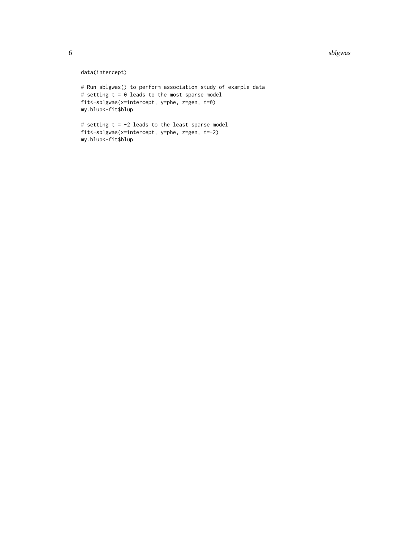#### 6 sblgwas shows that the state of the state of the state of the state of the state of the state of the state of the state of the state of the state of the state of the state of the state of the state of the state of the st

data(intercept)

```
# Run sblgwas() to perform association study of example data
# setting t = 0 leads to the most sparse model
fit<-sblgwas(x=intercept, y=phe, z=gen, t=0)
my.blup<-fit$blup
```

```
# setting t = -2 leads to the least sparse model
fit<-sblgwas(x=intercept, y=phe, z=gen, t=-2)
my.blup<-fit$blup
```